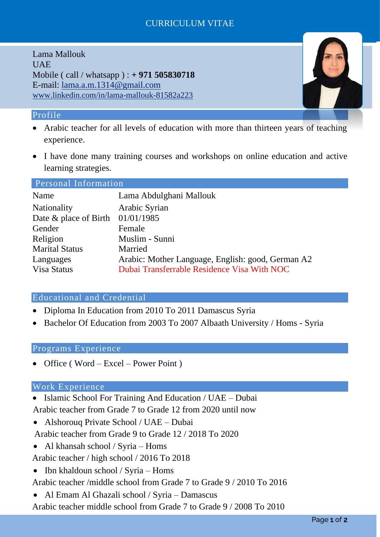# CURRICULUM VITAE

Lama Mallouk UAE Mobile ( call / whatsapp ) : **+ 971 505830718** E-mail: [lama.a.m.1314@gmail.com](mailto:lama.a.m.1314@gmail.com) www.linkedin.com/in/lama-mallouk-81582a223

### Profile

- Arabic teacher for all levels of education with more than thirteen years of teaching experience.
- I have done many training courses and workshops on online education and active learning strategies.

#### Personal Information

| Name                               | Lama Abdulghani Mallouk                           |
|------------------------------------|---------------------------------------------------|
| Nationality                        | Arabic Syrian                                     |
| Date & place of Birth $01/01/1985$ |                                                   |
| Gender                             | Female                                            |
| Religion                           | Muslim - Sunni                                    |
| <b>Marital Status</b>              | Married                                           |
| Languages                          | Arabic: Mother Language, English: good, German A2 |
| Visa Status                        | Dubai Transferrable Residence Visa With NOC       |

# Educational and Credential

- Diploma In Education from 2010 To 2011 Damascus Syria
- Bachelor Of Education from 2003 To 2007 Albaath University / Homs Syria

#### Programs Experience

• Office (Word – Excel – Power Point)

#### Work Experience

- Islamic School For Training And Education / UAE Dubai Arabic teacher from Grade 7 to Grade 12 from 2020 until now
- Alshorouq Private School / UAE Dubai

Arabic teacher from Grade 9 to Grade 12 / 2018 To 2020

• Al khansah school / Syria – Homs

Arabic teacher / high school / 2016 To 2018

• Ibn khaldoun school / Syria – Homs

Arabic teacher /middle school from Grade 7 to Grade 9 / 2010 To 2016

• Al Emam Al Ghazali school / Syria – Damascus

Arabic teacher middle school from Grade 7 to Grade 9 / 2008 To 2010